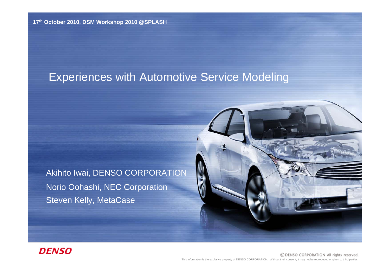## Experiences with Automotive Service Modeling

Akihito Iwai, DENSO CORPORATION Norio Oohashi, NEC Corporation Steven Kelly, MetaCase



### **DENSO**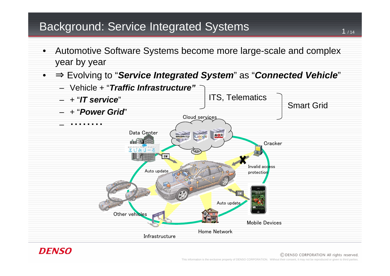## Background: Service Integrated Systems <sup>1</sup>

- Automotive Software Systems become more large-scale and complex year by year
- ⇒ Evolving to "*Service Integrated System*" as "*Connected Vehicle*"



### DENSO

#### © DENSO CORPORATION All rights reserved.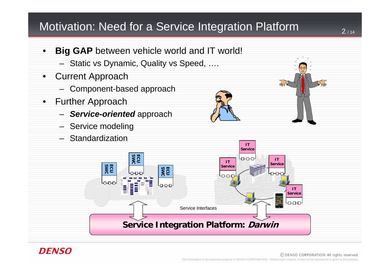## Motivation: Need for a Service Integration Platform

- **Big GAP** between vehicle world and IT world!
	- Static vs Dynamic, Quality vs Speed, ….
- Current Approach
	- Component-based approach
- Further Approach
	- *Service-oriented* approach
	- Service modeling
	- Standardization







#### © DENSO CORPORATION All rights reserved.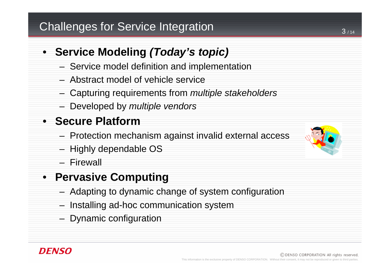## Challenges for Service Integration

## • **Service Modeling** *(Today's topic)*

- Service model definition and implementation
- Abstract model of vehicle service
- Capturing requirements from *multiple stakeholders*
- Developed by *multiple vendors*

## • **Secure Platform**

- Protection mechanism against invalid external access
- Highly dependable OS
- Firewall

## • **Pervasive Computing**

- Adapting to dynamic change of system configuration
- Installing ad-hoc communication system
- Dynamic configuration

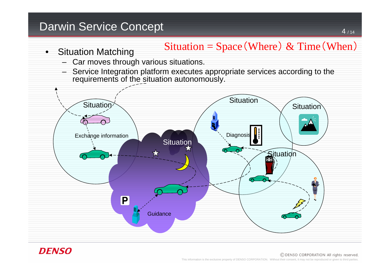## Darwin Service Concept

## Situation = Space (Where) & Time (When)

- Situation Matching
	- Car moves through various situations.
	- Service Integration platform executes appropriate services according to the requirements of the situation autonomously.



### **DENSO**

#### © DENSO CORPORATION All rights reserved.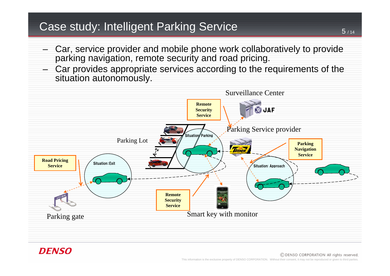## Case study: Intelligent Parking Service

- Car, service provider and mobile phone work collaboratively to provide parking navigation, remote security and road pricing.
- Car provides appropriate services according to the requirements of the situation autonomously.



### *DFNSO*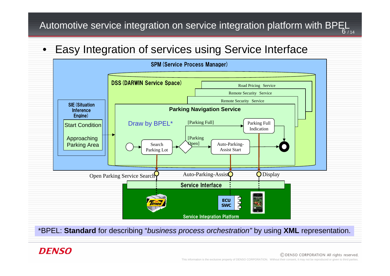Automotive service integration on service integration platform with BPEL  $_{\rule{0pt}{3ex}6_{714}}$ 

• Easy Integration of services using Service Interface



\*BPEL: **Standard** for describing "*business process orchestration"* by using **XML** representation.

### **DFNSO**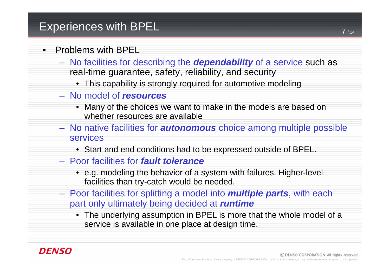## Experiences with BPEL

### • Problems with BPEL

- No facilities for describing the *dependability* of a service such as real-time guarantee, safety, reliability, and security
	- This capability is strongly required for automotive modeling
- No model of *resources*
	- Many of the choices we want to make in the models are based on whether resources are available
- No native facilities for *autonomous* choice among multiple possible services
	- Start and end conditions had to be expressed outside of BPEL.
- Poor facilities for *fault tolerance*
	- e.g. modeling the behavior of a system with failures. Higher-level facilities than try-catch would be needed.
- Poor facilities for splitting a model into *multiple parts*, with each part only ultimately being decided at *runtime*
	- The underlying assumption in BPEL is more that the whole model of a service is available in one place at design time.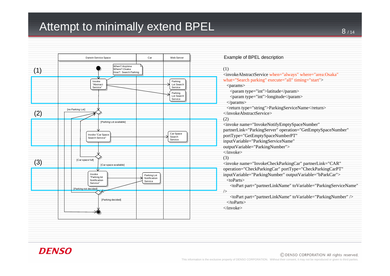## Attempt to minimally extend BPEL



#### Example of BPEL description

#### (1)

<invokeAbstractService when="always" where="area:Osaka" what="Search parking" execute="all" timing="start" >

#### <params>

<param type="int">latitude</param>

<param type="int">longitude</param>

</params>

<return type="string">ParkingServiceName</return> </invokeAbstractService>

#### (2)

<invoke name="InvokeNotifyEmptySpaceNumber"

partnerLink="ParkingServer" operation="GetEmptySpaceNumber"

portType="GetEmptySpaceNumberPT"

inputVariable="ParkingServiceName"

outputVariable="ParkingNumber">

</invoke>

(3)

<invoke name="InvokeCheckParkingCar" partnerLink="CAR" operation="CheckParkingCar" portType="CheckParkingCarPT" inputVariable="ParkingNumber" outputVariable="bParkCar"> <toParts>

<toPart part="partnerLinkName" toVariable="ParkingServiceName" />

<toPart part="partnerLinkName" toVariable="ParkingNumber" /> </toParts>

</invoke>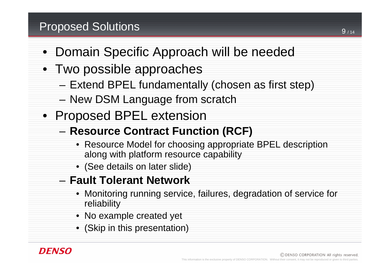## Proposed Solutions

- Domain Specific Approach will be needed
- Two possible approaches
	- Extend BPEL fundamentally (chosen as first step)
	- New DSM Language from scratch
- Proposed BPEL extension
	- **Resource Contract Function (RCF)**
		- Resource Model for choosing appropriate BPEL description along with platform resource capability
		- (See details on later slide)
	- **Fault Tolerant Network**
		- Monitoring running service, failures, degradation of service for reliability
		- No example created yet
		- (Skip in this presentation)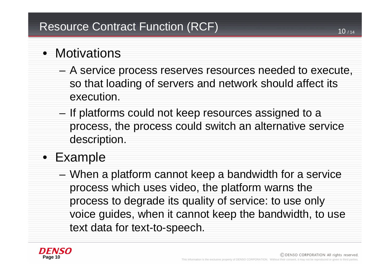- Motivations
	- A service process reserves resources needed to execute, so that loading of servers and network should affect its execution.
	- If platforms could not keep resources assigned to a process, the process could switch an alternative service description.
- Example
	- When a platform cannot keep a bandwidth for a service process which uses video, the platform warns the process to degrade its quality of service: to use only voice guides, when it cannot keep the bandwidth, to use text data for text-to-speech.

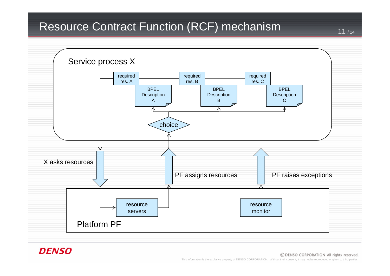## Resource Contract Function (RCF) mechanism



### **DENSO**

#### © DENSO CORPORATION All rights reserved.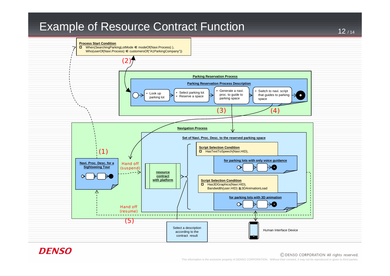## Example of Resource Contract Function



### **DENSO**

#### © DENSO CORPORATION All rights reserved.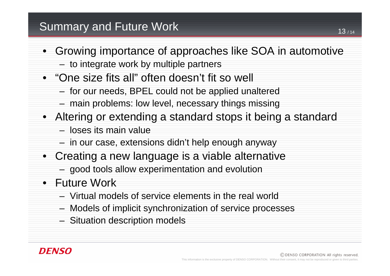- Growing importance of approaches like SOA in automotive
	- to integrate work by multiple partners
- "One size fits all" often doesn't fit so well
	- for our needs, BPEL could not be applied unaltered
	- main problems: low level, necessary things missing
- Altering or extending a standard stops it being a standard
	- loses its main value
	- in our case, extensions didn't help enough anyway
- Creating a new language is a viable alternative
	- good tools allow experimentation and evolution
- Future Work
	- Virtual models of service elements in the real world
	- Models of implicit synchronization of service processes
	- Situation description models